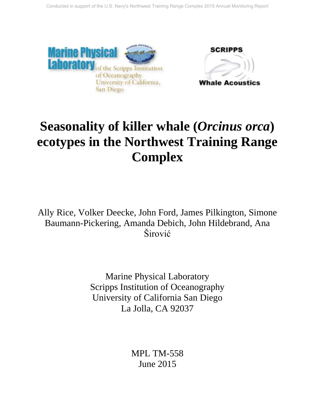



# **Seasonality of killer whale (***Orcinus orca***) ecotypes in the Northwest Training Range Complex**

Ally Rice, Volker Deecke, John Ford, James Pilkington, Simone Baumann-Pickering, Amanda Debich, John Hildebrand, Ana Širović

> Marine Physical Laboratory Scripps Institution of Oceanography University of California San Diego La Jolla, CA 92037

> > MPL TM-558 June 2015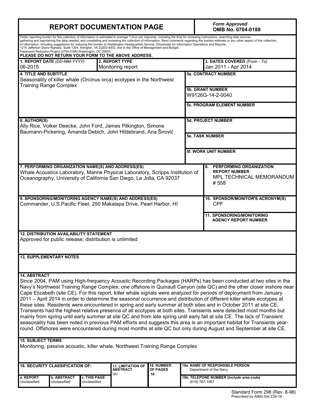| <b>REPORT DOCUMENTATION PAGE</b>                                                                                                                                                                                                                                                                                                                                                                                                                                                                                                                                                     |              |                                             |                   |                                             | <b>Form Approved</b><br>OMB No. 0704-0188                                                                                                                                                                                                                                                                                                                                                                                                                                                                                                                                                                                                                                                                                                                                                                                                                                                                                                                                                                                                                                                                       |  |  |
|--------------------------------------------------------------------------------------------------------------------------------------------------------------------------------------------------------------------------------------------------------------------------------------------------------------------------------------------------------------------------------------------------------------------------------------------------------------------------------------------------------------------------------------------------------------------------------------|--------------|---------------------------------------------|-------------------|---------------------------------------------|-----------------------------------------------------------------------------------------------------------------------------------------------------------------------------------------------------------------------------------------------------------------------------------------------------------------------------------------------------------------------------------------------------------------------------------------------------------------------------------------------------------------------------------------------------------------------------------------------------------------------------------------------------------------------------------------------------------------------------------------------------------------------------------------------------------------------------------------------------------------------------------------------------------------------------------------------------------------------------------------------------------------------------------------------------------------------------------------------------------------|--|--|
| Public reporting burden for this collection of information is estimated to average 1 hour per response, including the time for reviewing instructions, searching data sources,<br>of information, including suggestions for reducing this burden to Washington Headquarters Service, Directorate for Information Operations and Reports,<br>1215 Jefferson Davis Highway, Suite 1204, Arlington, VA 22202-4302, and to the Office of Management and Budget,<br>Paperwork Reduction Project (0704-0188) Washington, DC 20503.<br>PLEASE DO NOT RETURN YOUR FORM TO THE ABOVE ADDRESS. |              |                                             |                   |                                             | gathering and maintaining the data needed, and completing and reviewing the collection of information. Send comments regarding this burden estimate or any other aspect of this collection                                                                                                                                                                                                                                                                                                                                                                                                                                                                                                                                                                                                                                                                                                                                                                                                                                                                                                                      |  |  |
| 1. REPORT DATE (DD-MM-YYYY)<br>06-2015                                                                                                                                                                                                                                                                                                                                                                                                                                                                                                                                               |              | 2. REPORT TYPE<br>Monitoring report         |                   |                                             | 3. DATES COVERED (From - To)<br>Jan 2011 - Apr 2014                                                                                                                                                                                                                                                                                                                                                                                                                                                                                                                                                                                                                                                                                                                                                                                                                                                                                                                                                                                                                                                             |  |  |
| <b>4. TITLE AND SUBTITLE</b><br>Seasonality of killer whale (Orcinus orca) ecotypes in the Northwest<br><b>Training Range Complex</b>                                                                                                                                                                                                                                                                                                                                                                                                                                                |              |                                             |                   | <b>5a. CONTRACT NUMBER</b>                  |                                                                                                                                                                                                                                                                                                                                                                                                                                                                                                                                                                                                                                                                                                                                                                                                                                                                                                                                                                                                                                                                                                                 |  |  |
|                                                                                                                                                                                                                                                                                                                                                                                                                                                                                                                                                                                      |              |                                             |                   | <b>5b. GRANT NUMBER</b><br>W9126G-14-2-0040 |                                                                                                                                                                                                                                                                                                                                                                                                                                                                                                                                                                                                                                                                                                                                                                                                                                                                                                                                                                                                                                                                                                                 |  |  |
|                                                                                                                                                                                                                                                                                                                                                                                                                                                                                                                                                                                      |              |                                             |                   |                                             | <b>5c. PROGRAM ELEMENT NUMBER</b>                                                                                                                                                                                                                                                                                                                                                                                                                                                                                                                                                                                                                                                                                                                                                                                                                                                                                                                                                                                                                                                                               |  |  |
| 6. AUTHOR(S)<br>Ally Rice, Volker Deecke, John Ford, James Pilkington, Simone<br>Baumann-Pickering, Amanda Debich, John Hildebrand, Ana Širović                                                                                                                                                                                                                                                                                                                                                                                                                                      |              |                                             |                   |                                             | <b>5d. PROJECT NUMBER</b>                                                                                                                                                                                                                                                                                                                                                                                                                                                                                                                                                                                                                                                                                                                                                                                                                                                                                                                                                                                                                                                                                       |  |  |
|                                                                                                                                                                                                                                                                                                                                                                                                                                                                                                                                                                                      |              |                                             |                   | <b>5e. TASK NUMBER</b>                      |                                                                                                                                                                                                                                                                                                                                                                                                                                                                                                                                                                                                                                                                                                                                                                                                                                                                                                                                                                                                                                                                                                                 |  |  |
|                                                                                                                                                                                                                                                                                                                                                                                                                                                                                                                                                                                      |              |                                             |                   |                                             | <b>5f. WORK UNIT NUMBER</b>                                                                                                                                                                                                                                                                                                                                                                                                                                                                                                                                                                                                                                                                                                                                                                                                                                                                                                                                                                                                                                                                                     |  |  |
| 7. PERFORMING ORGANIZATION NAME(S) AND ADDRESS(ES)<br>Whale Acoustics Laboratory, Marine Physical Laboratory, Scripps Institution of<br>Oceanography, University of California San Diego, La Jolla, CA 92037                                                                                                                                                                                                                                                                                                                                                                         |              |                                             |                   |                                             | PERFORMING ORGANIZATION<br>8.<br><b>REPORT NUMBER</b><br>MPL TECHNICAL MEMORANDUM<br>#558                                                                                                                                                                                                                                                                                                                                                                                                                                                                                                                                                                                                                                                                                                                                                                                                                                                                                                                                                                                                                       |  |  |
| 9. SPONSORING/MONITORING AGENCY NAME(S) AND ADDRESS(ES)<br>Commander, U.S. Pacific Fleet, 250 Makalapa Drive, Pearl Harbor, HI                                                                                                                                                                                                                                                                                                                                                                                                                                                       |              |                                             |                   |                                             | 10. SPONSOR/MONITOR'S ACRONYM(S)<br><b>CPF</b>                                                                                                                                                                                                                                                                                                                                                                                                                                                                                                                                                                                                                                                                                                                                                                                                                                                                                                                                                                                                                                                                  |  |  |
|                                                                                                                                                                                                                                                                                                                                                                                                                                                                                                                                                                                      |              |                                             |                   |                                             | 11. SPONSORING/MONITORING<br><b>AGENCY REPORT NUMBER</b>                                                                                                                                                                                                                                                                                                                                                                                                                                                                                                                                                                                                                                                                                                                                                                                                                                                                                                                                                                                                                                                        |  |  |
| <b>12. DISTRIBUTION AVAILABILITY STATEMENT</b><br>Approved for public release; distribution is unlimited                                                                                                                                                                                                                                                                                                                                                                                                                                                                             |              |                                             |                   |                                             |                                                                                                                                                                                                                                                                                                                                                                                                                                                                                                                                                                                                                                                                                                                                                                                                                                                                                                                                                                                                                                                                                                                 |  |  |
| <b>13. SUPPLEMENTARY NOTES</b>                                                                                                                                                                                                                                                                                                                                                                                                                                                                                                                                                       |              |                                             |                   |                                             |                                                                                                                                                                                                                                                                                                                                                                                                                                                                                                                                                                                                                                                                                                                                                                                                                                                                                                                                                                                                                                                                                                                 |  |  |
| <b>14. ABSTRACT</b>                                                                                                                                                                                                                                                                                                                                                                                                                                                                                                                                                                  |              |                                             |                   |                                             | Since 2004, PAM using High-frequency Acoustic Recording Packages (HARPs) has been conducted at two sites in the<br>Navy's Northwest Training Range Complex; one offshore in Quinault Canyon (site QC) and the other closer inshore near<br>Cape Elizabeth (site CE). For this report, killer whale signals were analyzed for periods of deployment from January<br>2011 - April 2014 in order to determine the seasonal occurrence and distribution of different killer whale ecotypes at<br>these sites. Residents were encountered in spring and early summer at both sites and in October 2011 at site CE.<br>Transients had the highest relative presence of all ecotypes at both sites. Transients were detected most months but<br>mainly from spring until early summer at site QC and from late spring until early fall at site CE. The lack of Transient<br>seasonality has been noted in previous PAM efforts and suggests this area is an important habitat for Transients year-<br>round. Offshores were encountered during most months at site QC but only during August and September at site CE. |  |  |
| <b>15. SUBJECT TERMS</b><br>Monitoring, passive acoustic, killer whale, Northwest Training Range Complex                                                                                                                                                                                                                                                                                                                                                                                                                                                                             |              |                                             |                   |                                             |                                                                                                                                                                                                                                                                                                                                                                                                                                                                                                                                                                                                                                                                                                                                                                                                                                                                                                                                                                                                                                                                                                                 |  |  |
| <b>16. SECURITY CLASSIFICATION OF:</b>                                                                                                                                                                                                                                                                                                                                                                                                                                                                                                                                               |              | <b>17. LIMITATION OF</b><br><b>ABSTRACT</b> | <b>18. NUMBER</b> |                                             | <b>19a. NAME OF RESPONSIBLE PERSON</b>                                                                                                                                                                                                                                                                                                                                                                                                                                                                                                                                                                                                                                                                                                                                                                                                                                                                                                                                                                                                                                                                          |  |  |
| a. REPORT<br><b>b. ABSTRACT</b>                                                                                                                                                                                                                                                                                                                                                                                                                                                                                                                                                      | c. THIS PAGE |                                             | OF PAGES<br>10    |                                             | Department of the Navy<br>19b. TELEPONE NUMBER (Include area code)                                                                                                                                                                                                                                                                                                                                                                                                                                                                                                                                                                                                                                                                                                                                                                                                                                                                                                                                                                                                                                              |  |  |
| Unclassified<br>Unclassified                                                                                                                                                                                                                                                                                                                                                                                                                                                                                                                                                         | Unclassified |                                             |                   |                                             | (619) 767-1567                                                                                                                                                                                                                                                                                                                                                                                                                                                                                                                                                                                                                                                                                                                                                                                                                                                                                                                                                                                                                                                                                                  |  |  |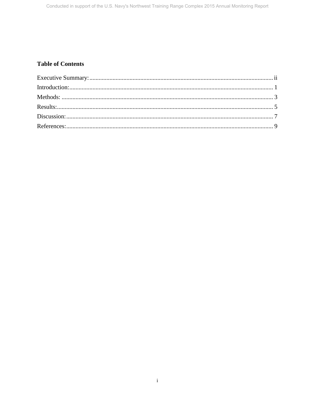## **Table of Contents**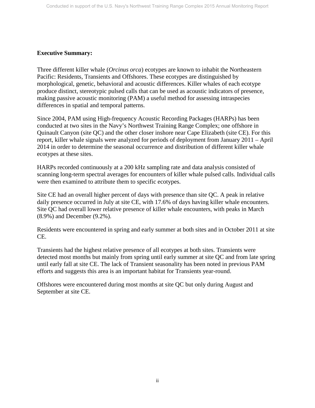## <span id="page-3-0"></span>**Executive Summary:**

Three different killer whale (*Orcinus orca*) ecotypes are known to inhabit the Northeastern Pacific: Residents, Transients and Offshores. These ecotypes are distinguished by morphological, genetic, behavioral and acoustic differences. Killer whales of each ecotype produce distinct, stereotypic pulsed calls that can be used as acoustic indicators of presence, making passive acoustic monitoring (PAM) a useful method for assessing intraspecies differences in spatial and temporal patterns.

Since 2004, PAM using High-frequency Acoustic Recording Packages (HARPs) has been conducted at two sites in the Navy's Northwest Training Range Complex; one offshore in Quinault Canyon (site QC) and the other closer inshore near Cape Elizabeth (site CE). For this report, killer whale signals were analyzed for periods of deployment from January 2011 – April 2014 in order to determine the seasonal occurrence and distribution of different killer whale ecotypes at these sites.

HARPs recorded continuously at a 200 kHz sampling rate and data analysis consisted of scanning long-term spectral averages for encounters of killer whale pulsed calls. Individual calls were then examined to attribute them to specific ecotypes.

Site CE had an overall higher percent of days with presence than site QC. A peak in relative daily presence occurred in July at site CE, with 17.6% of days having killer whale encounters. Site QC had overall lower relative presence of killer whale encounters, with peaks in March (8.9%) and December (9.2%).

Residents were encountered in spring and early summer at both sites and in October 2011 at site CE.

Transients had the highest relative presence of all ecotypes at both sites. Transients were detected most months but mainly from spring until early summer at site QC and from late spring until early fall at site CE. The lack of Transient seasonality has been noted in previous PAM efforts and suggests this area is an important habitat for Transients year-round.

Offshores were encountered during most months at site QC but only during August and September at site CE.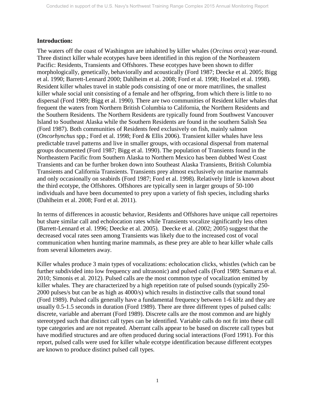## <span id="page-4-0"></span>**Introduction:**

The waters off the coast of Washington are inhabited by killer whales (*Orcinus orca*) year-round. Three distinct killer whale ecotypes have been identified in this region of the Northeastern Pacific: Residents, Transients and Offshores. These ecotypes have been shown to differ morphologically, genetically, behaviorally and acoustically (Ford 1987; Deecke et al. 2005; Bigg et al. 1990; Barrett-Lennard 2000; Dahlheim et al. 2008; Ford et al. 1998; Hoelzel et al. 1998). Resident killer whales travel in stable pods consisting of one or more matrilines, the smallest killer whale social unit consisting of a female and her offspring, from which there is little to no dispersal (Ford 1989; Bigg et al. 1990). There are two communities of Resident killer whales that frequent the waters from Northern British Columbia to California, the Northern Residents and the Southern Residents. The Northern Residents are typically found from Southwest Vancouver Island to Southeast Alaska while the Southern Residents are found in the southern Salish Sea (Ford 1987). Both communities of Residents feed exclusively on fish, mainly salmon (*Oncorhynchus* spp.; Ford et al. 1998; Ford & Ellis 2006). Transient killer whales have less predictable travel patterns and live in smaller groups, with occasional dispersal from maternal groups documented (Ford 1987; Bigg et al. 1990). The population of Transients found in the Northeastern Pacific from Southern Alaska to Northern Mexico has been dubbed West Coast Transients and can be further broken down into Southeast Alaska Transients, British Columbia Transients and California Transients. Transients prey almost exclusively on marine mammals and only occasionally on seabirds (Ford 1987; Ford et al. 1998). Relatively little is known about the third ecotype, the Offshores. Offshores are typically seen in larger groups of 50-100 individuals and have been documented to prey upon a variety of fish species, including sharks (Dahlheim et al. 2008; Ford et al. 2011).

In terms of differences in acoustic behavior, Residents and Offshores have unique call repertoires but share similar call and echolocation rates while Transients vocalize significantly less often (Barrett-Lennard et al. 1996; Deecke et al. 2005). Deecke et al. (2002; 2005) suggest that the decreased vocal rates seen among Transients was likely due to the increased cost of vocal communication when hunting marine mammals, as these prey are able to hear killer whale calls from several kilometers away.

Killer whales produce 3 main types of vocalizations: echolocation clicks, whistles (which can be further subdivided into low frequency and ultrasonic) and pulsed calls (Ford 1989; Samarra et al. 2010; Simonis et al. 2012). Pulsed calls are the most common type of vocalization emitted by killer whales. They are characterized by a high repetition rate of pulsed sounds (typically 250- 2000 pulses/s but can be as high as 4000/s) which results in distinctive calls that sound tonal (Ford 1989). Pulsed calls generally have a fundamental frequency between 1-6 kHz and they are usually 0.5-1.5 seconds in duration (Ford 1989). There are three different types of pulsed calls: discrete, variable and aberrant (Ford 1989). Discrete calls are the most common and are highly stereotyped such that distinct call types can be identified. Variable calls do not fit into these call type categories and are not repeated. Aberrant calls appear to be based on discrete call types but have modified structures and are often produced during social interactions (Ford 1991). For this report, pulsed calls were used for killer whale ecotype identification because different ecotypes are known to produce distinct pulsed call types.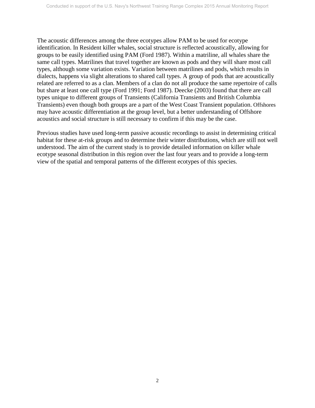The acoustic differences among the three ecotypes allow PAM to be used for ecotype identification. In Resident killer whales, social structure is reflected acoustically, allowing for groups to be easily identified using PAM (Ford 1987). Within a matriline, all whales share the same call types. Matrilines that travel together are known as pods and they will share most call types, although some variation exists. Variation between matrilines and pods, which results in dialects, happens via slight alterations to shared call types. A group of pods that are acoustically related are referred to as a clan. Members of a clan do not all produce the same repertoire of calls but share at least one call type (Ford 1991; Ford 1987). Deecke (2003) found that there are call types unique to different groups of Transients (California Transients and British Columbia Transients) even though both groups are a part of the West Coast Transient population. Offshores may have acoustic differentiation at the group level, but a better understanding of Offshore acoustics and social structure is still necessary to confirm if this may be the case.

Previous studies have used long-term passive acoustic recordings to assist in determining critical habitat for these at-risk groups and to determine their winter distributions, which are still not well understood. The aim of the current study is to provide detailed information on killer whale ecotype seasonal distribution in this region over the last four years and to provide a long-term view of the spatial and temporal patterns of the different ecotypes of this species.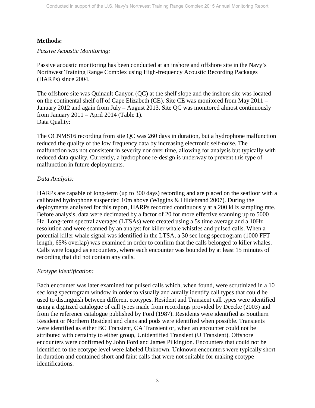## **Methods:**

*Passive Acoustic Monitoring:*

Passive acoustic monitoring has been conducted at an inshore and offshore site in the Navy's Northwest Training Range Complex using High-frequency Acoustic Recording Packages (HARPs) since 2004.

The offshore site was Quinault Canyon (QC) at the shelf slope and the inshore site was located on the continental shelf off of Cape Elizabeth (CE). Site CE was monitored from May 2011 – January 2012 and again from July – August 2013. Site QC was monitored almost continuously from January 2011 – April 2014 (Table 1). Data Quality:

The OCNMS16 recording from site QC was 260 days in duration, but a hydrophone malfunction reduced the quality of the low frequency data by increasing electronic self-noise. The malfunction was not consistent in severity nor over time, allowing for analysis but typically with reduced data quality. Currently, a hydrophone re-design is underway to prevent this type of malfunction in future deployments.

## *Data Analysis:*

HARPs are capable of long-term (up to 300 days) recording and are placed on the seafloor with a calibrated hydrophone suspended 10m above (Wiggins & Hildebrand 2007). During the deployments analyzed for this report, HARPs recorded continuously at a 200 kHz sampling rate. Before analysis, data were decimated by a factor of 20 for more effective scanning up to 5000 Hz. Long-term spectral averages (LTSAs) were created using a 5s time average and a 10Hz resolution and were scanned by an analyst for killer whale whistles and pulsed calls. When a potential killer whale signal was identified in the LTSA, a 30 sec long spectrogram (1000 FFT length, 65% overlap) was examined in order to confirm that the calls belonged to killer whales. Calls were logged as encounters, where each encounter was bounded by at least 15 minutes of recording that did not contain any calls.

## *Ecotype Identification:*

Each encounter was later examined for pulsed calls which, when found, were scrutinized in a 10 sec long spectrogram window in order to visually and aurally identify call types that could be used to distinguish between different ecotypes. Resident and Transient call types were identified using a digitized catalogue of call types made from recordings provided by Deecke (2003) and from the reference catalogue published by Ford (1987). Residents were identified as Southern Resident or Northern Resident and clans and pods were identified when possible. Transients were identified as either BC Transient, CA Transient or, when an encounter could not be attributed with certainty to either group, Unidentified Transient (U Transient). Offshore encounters were confirmed by John Ford and James Pilkington. Encounters that could not be identified to the ecotype level were labeled Unknown. Unknown encounters were typically short in duration and contained short and faint calls that were not suitable for making ecotype identifications.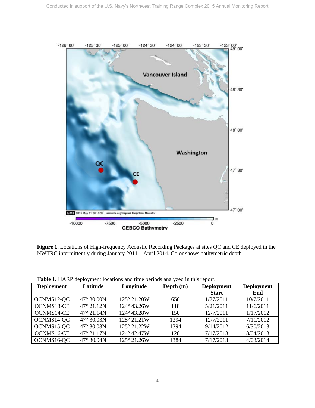

**Figure 1.** Locations of High-frequency Acoustic Recording Packages at sites QC and CE deployed in the NWTRC intermittently during January 2011 – April 2014. Color shows bathymetric depth.

| <b>Deployment</b> | Latitude            | Longitude   | Depth $(m)$ | <b>Deployment</b><br><b>Start</b> | <b>Deployment</b><br>End |
|-------------------|---------------------|-------------|-------------|-----------------------------------|--------------------------|
| OCNMS12-QC        | 47° 30.00N          | 125° 21.20W | 650         | 1/27/2011                         | 10/7/2011                |
| OCNMS13-CE        | $47^{\circ} 21.12N$ | 124° 43.26W | 118         | 5/21/2011                         | 11/6/2011                |
| OCNMS14-CE        | $47^{\circ}$ 21.14N | 124° 43.28W | 150         | 12/7/2011                         | 1/17/2012                |
| OCNMS14-QC        | 47° 30.03N          | 125° 21.21W | 1394        | 12/7/2011                         | 7/11/2012                |
| OCNMS15-QC        | 47° 30.03N          | 125° 21.22W | 1394        | 9/14/2012                         | 6/30/2013                |
| OCNMS16-CE        | 47° 21.17N          | 124° 42.47W | 120         | 7/17/2013                         | 8/04/2013                |
| OCNMS16-QC        | 47° 30.04N          | 125° 21.26W | 1384        | 7/17/2013                         | 4/03/2014                |

**Table 1.** HARP deployment locations and time periods analyzed in this report.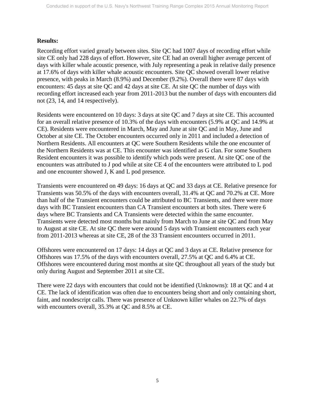#### **Results:**

Recording effort varied greatly between sites. Site QC had 1007 days of recording effort while site CE only had 228 days of effort. However, site CE had an overall higher average percent of days with killer whale acoustic presence, with July representing a peak in relative daily presence at 17.6% of days with killer whale acoustic encounters. Site QC showed overall lower relative presence, with peaks in March (8.9%) and December (9.2%). Overall there were 87 days with encounters: 45 days at site QC and 42 days at site CE. At site QC the number of days with recording effort increased each year from 2011-2013 but the number of days with encounters did not (23, 14, and 14 respectively).

Residents were encountered on 10 days: 3 days at site QC and 7 days at site CE. This accounted for an overall relative presence of 10.3% of the days with encounters (5.9% at QC and 14.9% at CE). Residents were encountered in March, May and June at site QC and in May, June and October at site CE. The October encounters occurred only in 2011 and included a detection of Northern Residents. All encounters at QC were Southern Residents while the one encounter of the Northern Residents was at CE. This encounter was identified as G clan. For some Southern Resident encounters it was possible to identify which pods were present. At site QC one of the encounters was attributed to J pod while at site CE 4 of the encounters were attributed to L pod and one encounter showed J, K and L pod presence.

Transients were encountered on 49 days: 16 days at QC and 33 days at CE. Relative presence for Transients was 50.5% of the days with encounters overall, 31.4% at QC and 70.2% at CE. More than half of the Transient encounters could be attributed to BC Transients, and there were more days with BC Transient encounters than CA Transient encounters at both sites. There were 6 days where BC Transients and CA Transients were detected within the same encounter. Transients were detected most months but mainly from March to June at site QC and from May to August at site CE. At site QC there were around 5 days with Transient encounters each year from 2011-2013 whereas at site CE, 28 of the 33 Transient encounters occurred in 2011.

Offshores were encountered on 17 days: 14 days at QC and 3 days at CE. Relative presence for Offshores was 17.5% of the days with encounters overall, 27.5% at QC and 6.4% at CE. Offshores were encountered during most months at site QC throughout all years of the study but only during August and September 2011 at site CE.

There were 22 days with encounters that could not be identified (Unknowns): 18 at QC and 4 at CE. The lack of identification was often due to encounters being short and only containing short, faint, and nondescript calls. There was presence of Unknown killer whales on 22.7% of days with encounters overall, 35.3% at QC and 8.5% at CE.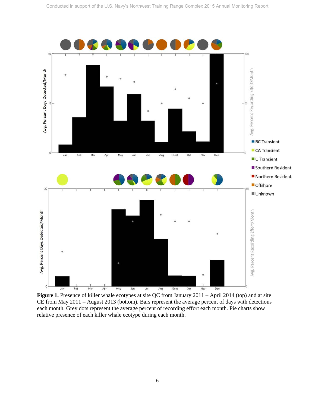

**Figure 1.** Presence of killer whale ecotypes at site QC from January 2011 – April 2014 (top) and at site CE from May 2011 – August 2013 (bottom). Bars represent the average percent of days with detections each month. Grey dots represent the average percent of recording effort each month. Pie charts show relative presence of each killer whale ecotype during each month.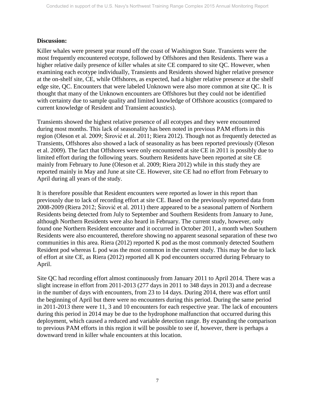## **Discussion:**

Killer whales were present year round off the coast of Washington State. Transients were the most frequently encountered ecotype, followed by Offshores and then Residents. There was a higher relative daily presence of killer whales at site CE compared to site QC. However, when examining each ecotype individually, Transients and Residents showed higher relative presence at the on-shelf site, CE, while Offshores, as expected, had a higher relative presence at the shelf edge site, QC. Encounters that were labeled Unknown were also more common at site QC. It is thought that many of the Unknown encounters are Offshores but they could not be identified with certainty due to sample quality and limited knowledge of Offshore acoustics (compared to current knowledge of Resident and Transient acoustics).

Transients showed the highest relative presence of all ecotypes and they were encountered during most months. This lack of seasonality has been noted in previous PAM efforts in this region (Oleson et al. 2009; Širović et al. 2011; Riera 2012). Though not as frequently detected as Transients, Offshores also showed a lack of seasonality as has been reported previously (Oleson et al. 2009). The fact that Offshores were only encountered at site CE in 2011 is possibly due to limited effort during the following years. Southern Residents have been reported at site CE mainly from February to June (Oleson et al. 2009; Riera 2012) while in this study they are reported mainly in May and June at site CE. However, site CE had no effort from February to April during all years of the study.

It is therefore possible that Resident encounters were reported as lower in this report than previously due to lack of recording effort at site CE. Based on the previously reported data from 2008-2009 (Riera 2012; Širović et al. 2011) there appeared to be a seasonal pattern of Northern Residents being detected from July to September and Southern Residents from January to June, although Northern Residents were also heard in February. The current study, however, only found one Northern Resident encounter and it occurred in October 2011, a month when Southern Residents were also encountered, therefore showing no apparent seasonal separation of these two communities in this area. Riera (2012) reported K pod as the most commonly detected Southern Resident pod whereas L pod was the most common in the current study. This may be due to lack of effort at site CE, as Riera (2012) reported all K pod encounters occurred during February to April.

Site QC had recording effort almost continuously from January 2011 to April 2014. There was a slight increase in effort from 2011-2013 (277 days in 2011 to 348 days in 2013) and a decrease in the number of days with encounters, from 23 to 14 days. During 2014, there was effort until the beginning of April but there were no encounters during this period. During the same period in 2011-2013 there were 11, 3 and 10 encounters for each respective year. The lack of encounters during this period in 2014 may be due to the hydrophone malfunction that occurred during this deployment, which caused a reduced and variable detection range. By expanding the comparison to previous PAM efforts in this region it will be possible to see if, however, there is perhaps a downward trend in killer whale encounters at this location.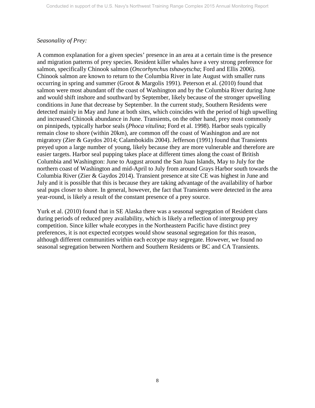## *Seasonality of Prey:*

A common explanation for a given species' presence in an area at a certain time is the presence and migration patterns of prey species. Resident killer whales have a very strong preference for salmon, specifically Chinook salmon (*Oncorhynchus tshawytscha*; Ford and Ellis 2006). Chinook salmon are known to return to the Columbia River in late August with smaller runs occurring in spring and summer (Groot & Margolis 1991). Peterson et al. (2010) found that salmon were most abundant off the coast of Washington and by the Columbia River during June and would shift inshore and southward by September, likely because of the stronger upwelling conditions in June that decrease by September. In the current study, Southern Residents were detected mainly in May and June at both sites, which coincides with the period of high upwelling and increased Chinook abundance in June. Transients, on the other hand, prey most commonly on pinnipeds, typically harbor seals (*Phoca vitulina*; Ford et al. 1998). Harbor seals typically remain close to shore (within 20km), are common off the coast of Washington and are not migratory (Zier & Gaydos 2014; Calambokidis 2004). Jefferson (1991) found that Transients preyed upon a large number of young, likely because they are more vulnerable and therefore are easier targets. Harbor seal pupping takes place at different times along the coast of British Columbia and Washington: June to August around the San Juan Islands, May to July for the northern coast of Washington and mid-April to July from around Grays Harbor south towards the Columbia River (Zier & Gaydos 2014). Transient presence at site CE was highest in June and July and it is possible that this is because they are taking advantage of the availability of harbor seal pups closer to shore. In general, however, the fact that Transients were detected in the area year-round, is likely a result of the constant presence of a prey source.

Yurk et al. (2010) found that in SE Alaska there was a seasonal segregation of Resident clans during periods of reduced prey availability, which is likely a reflection of intergroup prey competition. Since killer whale ecotypes in the Northeastern Pacific have distinct prey preferences, it is not expected ecotypes would show seasonal segregation for this reason, although different communities within each ecotype may segregate. However, we found no seasonal segregation between Northern and Southern Residents or BC and CA Transients.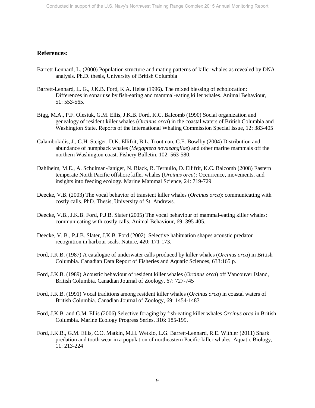#### <span id="page-12-0"></span>**References:**

- Barrett-Lennard, L. (2000) Population structure and mating patterns of killer whales as revealed by DNA analysis. Ph.D. thesis, University of British Columbia
- Barrett-Lennard, L. G., J.K.B. Ford, K.A. Heise (1996). The mixed blessing of echolocation: Differences in sonar use by fish-eating and mammal-eating killer whales. Animal Behaviour, 51: 553-565.
- Bigg, M.A., P.F. Olesiuk, G.M. Ellis, J.K.B. Ford, K.C. Balcomb (1990) Social organization and genealogy of resident killer whales (*Orcinus orca*) in the coastal waters of British Columbia and Washington State. Reports of the International Whaling Commission Special Issue, 12: 383-405
- Calambokidis, J., G.H. Steiger, D.K. Ellifrit, B.L. Troutman, C.E. Bowlby (2004) Distribution and abundance of humpback whales (*Megaptera novaeangliae*) and other marine mammals off the northern Washington coast. Fishery Bulletin, 102: 563-580.
- Dahlheim, M.E., A. Schulman-Janiger, N. Black, R. Ternullo, D. Ellifrit, K.C. Balcomb (2008) Eastern temperate North Pacific offshore killer whales (*Orcinus orca*): Occurrence, movements, and insights into feeding ecology. Marine Mammal Science, 24: 719-729
- Deecke, V.B. (2003) The vocal behavior of transient killer whales (*Orcinus orca*): communicating with costly calls. PhD. Thesis, University of St. Andrews.
- Deecke, V.B., J.K.B. Ford, P.J.B. Slater (2005) The vocal behaviour of mammal-eating killer whales: communicating with costly calls. Animal Behaviour, 69: 395-405.
- Deecke, V. B., P.J.B. Slater, J.K.B. Ford (2002). Selective habituation shapes acoustic predator recognition in harbour seals. Nature, 420: 171-173.
- Ford, J.K.B. (1987) A catalogue of underwater calls produced by killer whales (*Orcinus orca*) in British Columbia. Canadian Data Report of Fisheries and Aquatic Sciences, 633:165 p.
- Ford, J.K.B. (1989) Acoustic behaviour of resident killer whales (*Orcinus orca*) off Vancouver Island, British Columbia. Canadian Journal of Zoology, 67: 727-745
- Ford, J.K.B. (1991) Vocal traditions among resident killer whales (*Orcinus orca*) in coastal waters of British Columbia. Canadian Journal of Zoology, 69: 1454-1483
- Ford, J.K.B. and G.M. Ellis (2006) Selective foraging by fish-eating killer whales *Orcinus orca* in British Columbia. Marine Ecology Progress Series, 316: 185-199.
- Ford, J.K.B., G.M. Ellis, C.O. Matkin, M.H. Wetklo, L.G. Barrett-Lennard, R.E. Withler (2011) Shark predation and tooth wear in a population of northeastern Pacific killer whales. Aquatic Biology, 11: 213-224